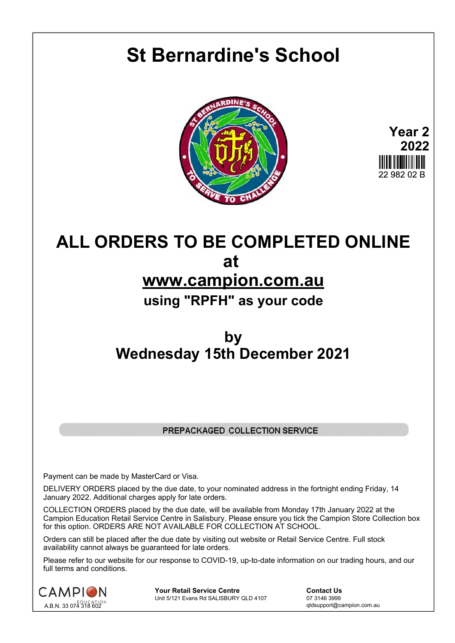## **St Bernardine's School**





## **ALL ORDERS TO BE COMPLETED ONLINE at www.campion.com.au using "RPFH" as your code**

## **by Wednesday 15th December 2021**

## PREPACKAGED COLLECTION SERVICE

Payment can be made by MasterCard or Visa.

DELIVERY ORDERS placed by the due date, to your nominated address in the fortnight ending Friday, 14 January 2022. Additional charges apply for late orders.

COLLECTION ORDERS placed by the due date, will be available from Monday 17th January 2022 at the Campion Education Retail Service Centre in Salisbury. Please ensure you tick the Campion Store Collection box for this option. ORDERS ARE NOT AVAILABLE FOR COLLECTION AT SCHOOL.

Orders can still be placed after the due date by visiting out website or Retail Service Centre. Full stock availability cannot always be guaranteed for late orders.

Please refer to our website for our response to COVID-19, up-to-date information on our trading hours, and our full terms and conditions.



**Your Retail Service Centre Contact Us**<br>
Unit 5/121 Evans Rd SALISBURY QLD 4107

07 3146 3999 Unit 5/121 Evans Rd SALISBURY QLD 4107

qldsupport@campion.com.au